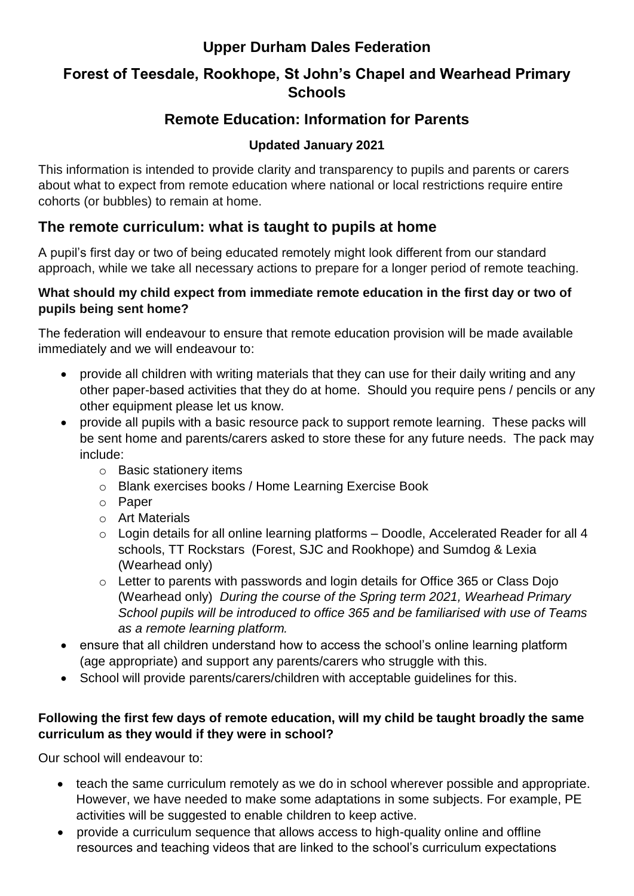# **Upper Durham Dales Federation**

### **Forest of Teesdale, Rookhope, St John's Chapel and Wearhead Primary Schools**

# **Remote Education: Information for Parents**

### **Updated January 2021**

This information is intended to provide clarity and transparency to pupils and parents or carers about what to expect from remote education where national or local restrictions require entire cohorts (or bubbles) to remain at home.

# **The remote curriculum: what is taught to pupils at home**

A pupil's first day or two of being educated remotely might look different from our standard approach, while we take all necessary actions to prepare for a longer period of remote teaching.

#### **What should my child expect from immediate remote education in the first day or two of pupils being sent home?**

The federation will endeavour to ensure that remote education provision will be made available immediately and we will endeavour to:

- provide all children with writing materials that they can use for their daily writing and any other paper-based activities that they do at home. Should you require pens / pencils or any other equipment please let us know.
- provide all pupils with a basic resource pack to support remote learning. These packs will be sent home and parents/carers asked to store these for any future needs. The pack may include:
	- o Basic stationery items
	- o Blank exercises books / Home Learning Exercise Book
	- o Paper
	- o Art Materials
	- o Login details for all online learning platforms Doodle, Accelerated Reader for all 4 schools, TT Rockstars (Forest, SJC and Rookhope) and Sumdog & Lexia (Wearhead only)
	- o Letter to parents with passwords and login details for Office 365 or Class Dojo (Wearhead only) *During the course of the Spring term 2021, Wearhead Primary School pupils will be introduced to office 365 and be familiarised with use of Teams as a remote learning platform.*
- ensure that all children understand how to access the school's online learning platform (age appropriate) and support any parents/carers who struggle with this.
- School will provide parents/carers/children with acceptable quidelines for this.

### **Following the first few days of remote education, will my child be taught broadly the same curriculum as they would if they were in school?**

Our school will endeavour to:

- teach the same curriculum remotely as we do in school wherever possible and appropriate. However, we have needed to make some adaptations in some subjects. For example, PE activities will be suggested to enable children to keep active.
- provide a curriculum sequence that allows access to high-quality online and offline resources and teaching videos that are linked to the school's curriculum expectations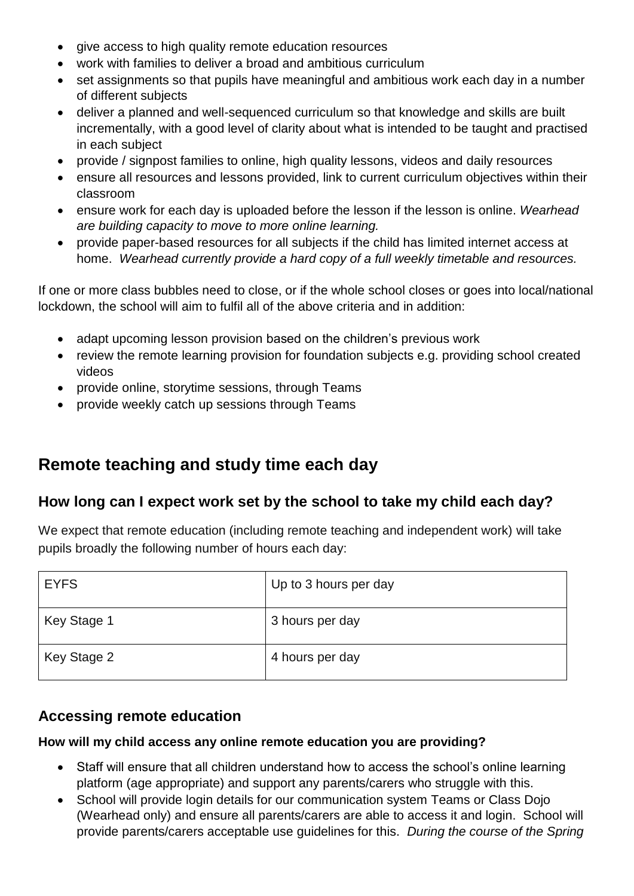- give access to high quality remote education resources
- work with families to deliver a broad and ambitious curriculum
- set assignments so that pupils have meaningful and ambitious work each day in a number of different subjects
- deliver a planned and well-sequenced curriculum so that knowledge and skills are built incrementally, with a good level of clarity about what is intended to be taught and practised in each subject
- provide / signpost families to online, high quality lessons, videos and daily resources
- ensure all resources and lessons provided, link to current curriculum objectives within their classroom
- ensure work for each day is uploaded before the lesson if the lesson is online. *Wearhead are building capacity to move to more online learning.*
- provide paper-based resources for all subjects if the child has limited internet access at home. *Wearhead currently provide a hard copy of a full weekly timetable and resources.*

If one or more class bubbles need to close, or if the whole school closes or goes into local/national lockdown, the school will aim to fulfil all of the above criteria and in addition:

- adapt upcoming lesson provision based on the children's previous work
- review the remote learning provision for foundation subjects e.g. providing school created videos
- provide online, storytime sessions, through Teams
- provide weekly catch up sessions through Teams

# **Remote teaching and study time each day**

### **How long can I expect work set by the school to take my child each day?**

We expect that remote education (including remote teaching and independent work) will take pupils broadly the following number of hours each day:

| <b>EYFS</b> | Up to 3 hours per day |
|-------------|-----------------------|
| Key Stage 1 | 3 hours per day       |
| Key Stage 2 | 4 hours per day       |

### **Accessing remote education**

#### **How will my child access any online remote education you are providing?**

- Staff will ensure that all children understand how to access the school's online learning platform (age appropriate) and support any parents/carers who struggle with this.
- School will provide login details for our communication system Teams or Class Dojo (Wearhead only) and ensure all parents/carers are able to access it and login. School will provide parents/carers acceptable use guidelines for this. *During the course of the Spring*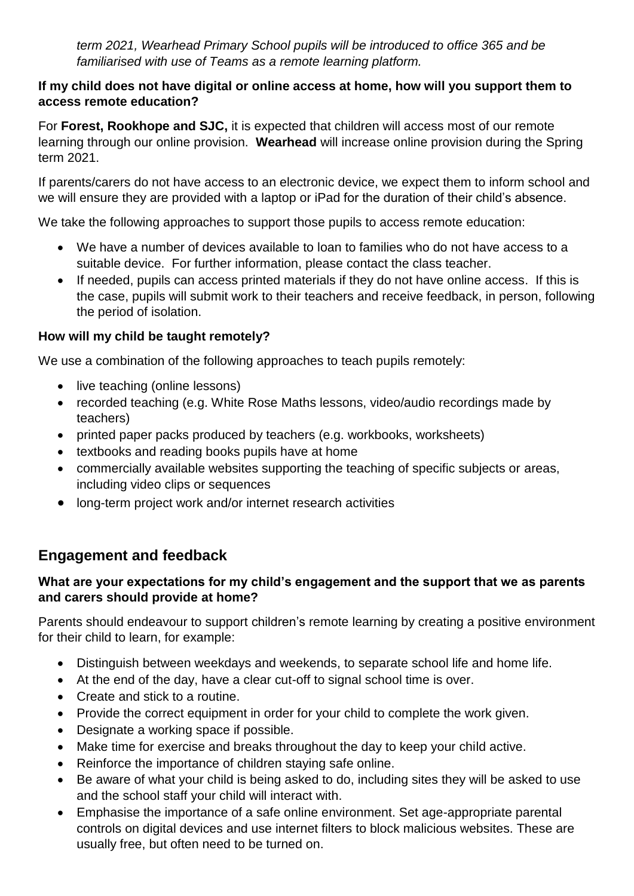*term 2021, Wearhead Primary School pupils will be introduced to office 365 and be familiarised with use of Teams as a remote learning platform.*

#### **If my child does not have digital or online access at home, how will you support them to access remote education?**

For **Forest, Rookhope and SJC,** it is expected that children will access most of our remote learning through our online provision. **Wearhead** will increase online provision during the Spring term 2021.

If parents/carers do not have access to an electronic device, we expect them to inform school and we will ensure they are provided with a laptop or iPad for the duration of their child's absence.

We take the following approaches to support those pupils to access remote education:

- We have a number of devices available to loan to families who do not have access to a suitable device. For further information, please contact the class teacher.
- If needed, pupils can access printed materials if they do not have online access. If this is the case, pupils will submit work to their teachers and receive feedback, in person, following the period of isolation.

### **How will my child be taught remotely?**

We use a combination of the following approaches to teach pupils remotely:

- live teaching (online lessons)
- recorded teaching (e.g. White Rose Maths lessons, video/audio recordings made by teachers)
- printed paper packs produced by teachers (e.g. workbooks, worksheets)
- textbooks and reading books pupils have at home
- commercially available websites supporting the teaching of specific subjects or areas, including video clips or sequences
- long-term project work and/or internet research activities

# **Engagement and feedback**

#### **What are your expectations for my child's engagement and the support that we as parents and carers should provide at home?**

Parents should endeavour to support children's remote learning by creating a positive environment for their child to learn, for example:

- Distinguish between weekdays and weekends, to separate school life and home life.
- At the end of the day, have a clear cut-off to signal school time is over.
- Create and stick to a routine.
- Provide the correct equipment in order for your child to complete the work given.
- Designate a working space if possible.
- Make time for exercise and breaks throughout the day to keep your child active.
- Reinforce the importance of children staying safe online.
- Be aware of what your child is being asked to do, including sites they will be asked to use and the school staff your child will interact with.
- Emphasise the importance of a safe online environment. Set age-appropriate parental controls on digital devices and use internet filters to block malicious websites. These are usually free, but often need to be turned on.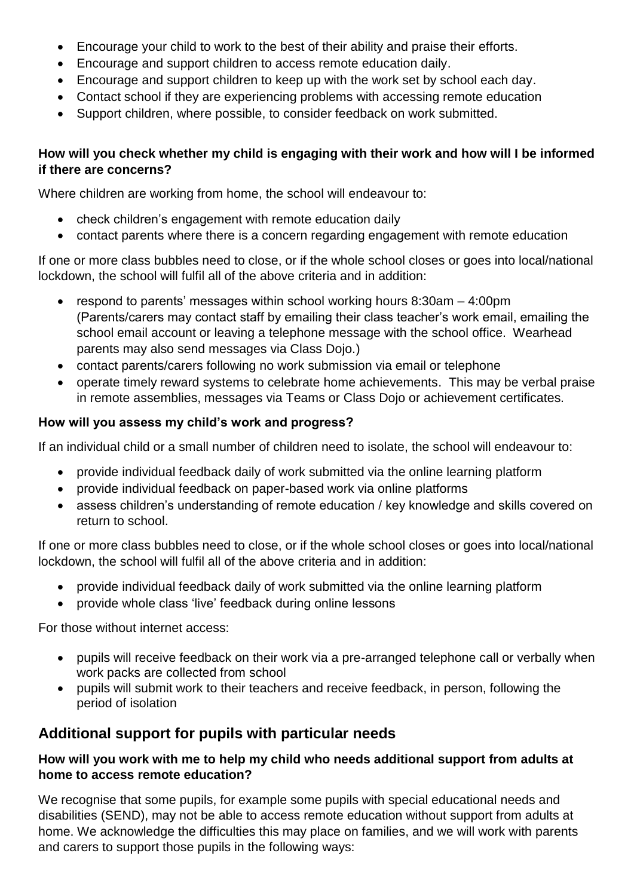- Encourage your child to work to the best of their ability and praise their efforts.
- Encourage and support children to access remote education daily.
- Encourage and support children to keep up with the work set by school each day.
- Contact school if they are experiencing problems with accessing remote education
- Support children, where possible, to consider feedback on work submitted.

### **How will you check whether my child is engaging with their work and how will I be informed if there are concerns?**

Where children are working from home, the school will endeavour to:

- check children's engagement with remote education daily
- contact parents where there is a concern regarding engagement with remote education

If one or more class bubbles need to close, or if the whole school closes or goes into local/national lockdown, the school will fulfil all of the above criteria and in addition:

- respond to parents' messages within school working hours  $8:30$ am  $-4:00$ pm (Parents/carers may contact staff by emailing their class teacher's work email, emailing the school email account or leaving a telephone message with the school office. Wearhead parents may also send messages via Class Dojo.)
- contact parents/carers following no work submission via email or telephone
- operate timely reward systems to celebrate home achievements. This may be verbal praise in remote assemblies, messages via Teams or Class Dojo or achievement certificates.

### **How will you assess my child's work and progress?**

If an individual child or a small number of children need to isolate, the school will endeavour to:

- provide individual feedback daily of work submitted via the online learning platform
- provide individual feedback on paper-based work via online platforms
- assess children's understanding of remote education / key knowledge and skills covered on return to school.

If one or more class bubbles need to close, or if the whole school closes or goes into local/national lockdown, the school will fulfil all of the above criteria and in addition:

- provide individual feedback daily of work submitted via the online learning platform
- provide whole class 'live' feedback during online lessons

For those without internet access:

- pupils will receive feedback on their work via a pre-arranged telephone call or verbally when work packs are collected from school
- pupils will submit work to their teachers and receive feedback, in person, following the period of isolation

# **Additional support for pupils with particular needs**

### **How will you work with me to help my child who needs additional support from adults at home to access remote education?**

We recognise that some pupils, for example some pupils with special educational needs and disabilities (SEND), may not be able to access remote education without support from adults at home. We acknowledge the difficulties this may place on families, and we will work with parents and carers to support those pupils in the following ways: